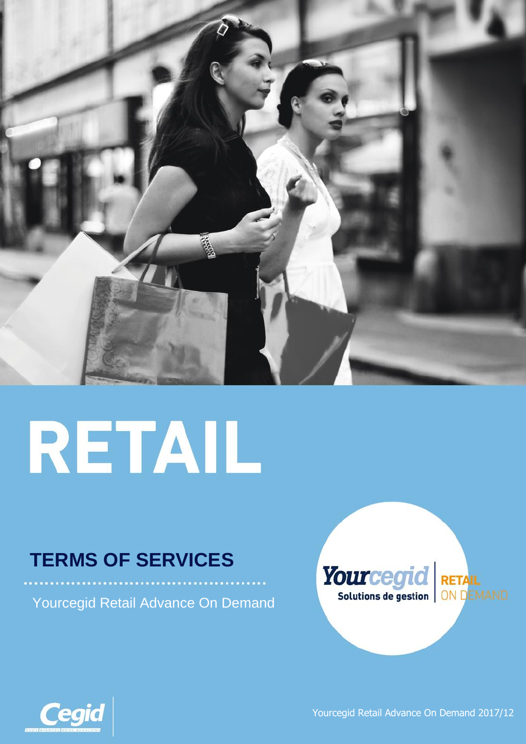

# RETAIL

# **TERMS OF SERVICES**

Yourcegid Retail Advance On Demand





Yourcegid Retail Advance On Demand 2017/12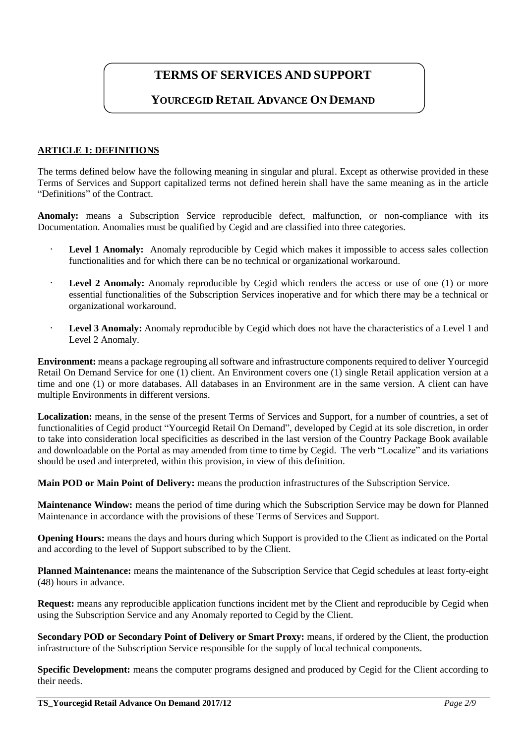## **TERMS OF SERVICES AND SUPPORT**

### **YOURCEGID RETAIL ADVANCE ON DEMAND**

#### **ARTICLE 1: DEFINITIONS**

The terms defined below have the following meaning in singular and plural. Except as otherwise provided in these Terms of Services and Support capitalized terms not defined herein shall have the same meaning as in the article "Definitions" of the Contract.

**Anomaly:** means a Subscription Service reproducible defect, malfunction, or non-compliance with its Documentation. Anomalies must be qualified by Cegid and are classified into three categories.

- **Level 1 Anomaly:** Anomaly reproducible by Cegid which makes it impossible to access sales collection functionalities and for which there can be no technical or organizational workaround.
- · **Level 2 Anomaly:** Anomaly reproducible by Cegid which renders the access or use of one (1) or more essential functionalities of the Subscription Services inoperative and for which there may be a technical or organizational workaround.
- Level 3 Anomaly: Anomaly reproducible by Cegid which does not have the characteristics of a Level 1 and Level 2 Anomaly.

**Environment:** means a package regrouping all software and infrastructure components required to deliver Yourcegid Retail On Demand Service for one (1) client. An Environment covers one (1) single Retail application version at a time and one (1) or more databases. All databases in an Environment are in the same version. A client can have multiple Environments in different versions.

Localization: means, in the sense of the present Terms of Services and Support, for a number of countries, a set of functionalities of Cegid product "Yourcegid Retail On Demand", developed by Cegid at its sole discretion, in order to take into consideration local specificities as described in the last version of the Country Package Book available and downloadable on the Portal as may amended from time to time by Cegid. The verb "Localize" and its variations should be used and interpreted, within this provision, in view of this definition.

**Main POD or Main Point of Delivery:** means the production infrastructures of the Subscription Service.

**Maintenance Window:** means the period of time during which the Subscription Service may be down for Planned Maintenance in accordance with the provisions of these Terms of Services and Support.

**Opening Hours:** means the days and hours during which Support is provided to the Client as indicated on the Portal and according to the level of Support subscribed to by the Client.

**Planned Maintenance:** means the maintenance of the Subscription Service that Cegid schedules at least forty-eight (48) hours in advance.

**Request:** means any reproducible application functions incident met by the Client and reproducible by Cegid when using the Subscription Service and any Anomaly reported to Cegid by the Client.

**Secondary POD or Secondary Point of Delivery or Smart Proxy:** means, if ordered by the Client, the production infrastructure of the Subscription Service responsible for the supply of local technical components.

**Specific Development:** means the computer programs designed and produced by Cegid for the Client according to their needs.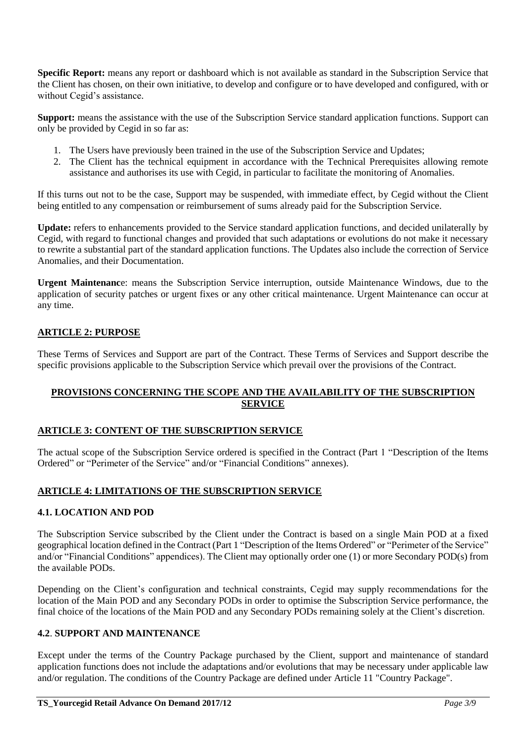**Specific Report:** means any report or dashboard which is not available as standard in the Subscription Service that the Client has chosen, on their own initiative, to develop and configure or to have developed and configured, with or without Cegid's assistance.

**Support:** means the assistance with the use of the Subscription Service standard application functions. Support can only be provided by Cegid in so far as:

- 1. The Users have previously been trained in the use of the Subscription Service and Updates;
- 2. The Client has the technical equipment in accordance with the Technical Prerequisites allowing remote assistance and authorises its use with Cegid, in particular to facilitate the monitoring of Anomalies.

If this turns out not to be the case, Support may be suspended, with immediate effect, by Cegid without the Client being entitled to any compensation or reimbursement of sums already paid for the Subscription Service.

**Update:** refers to enhancements provided to the Service standard application functions, and decided unilaterally by Cegid, with regard to functional changes and provided that such adaptations or evolutions do not make it necessary to rewrite a substantial part of the standard application functions. The Updates also include the correction of Service Anomalies, and their Documentation.

**Urgent Maintenanc**e: means the Subscription Service interruption, outside Maintenance Windows, due to the application of security patches or urgent fixes or any other critical maintenance. Urgent Maintenance can occur at any time.

#### **ARTICLE 2: PURPOSE**

These Terms of Services and Support are part of the Contract. These Terms of Services and Support describe the specific provisions applicable to the Subscription Service which prevail over the provisions of the Contract.

#### **PROVISIONS CONCERNING THE SCOPE AND THE AVAILABILITY OF THE SUBSCRIPTION SERVICE**

#### **ARTICLE 3: CONTENT OF THE SUBSCRIPTION SERVICE**

The actual scope of the Subscription Service ordered is specified in the Contract (Part 1 "Description of the Items Ordered" or "Perimeter of the Service" and/or "Financial Conditions" annexes).

#### **ARTICLE 4: LIMITATIONS OF THE SUBSCRIPTION SERVICE**

#### **4.1. LOCATION AND POD**

The Subscription Service subscribed by the Client under the Contract is based on a single Main POD at a fixed geographical location defined in the Contract (Part 1 "Description of the Items Ordered" or "Perimeter of the Service" and/or "Financial Conditions" appendices). The Client may optionally order one (1) or more Secondary POD(s) from the available PODs.

Depending on the Client's configuration and technical constraints, Cegid may supply recommendations for the location of the Main POD and any Secondary PODs in order to optimise the Subscription Service performance, the final choice of the locations of the Main POD and any Secondary PODs remaining solely at the Client's discretion.

#### **4.2**. **SUPPORT AND MAINTENANCE**

Except under the terms of the Country Package purchased by the Client, support and maintenance of standard application functions does not include the adaptations and/or evolutions that may be necessary under applicable law and/or regulation. The conditions of the Country Package are defined under Article 11 "Country Package".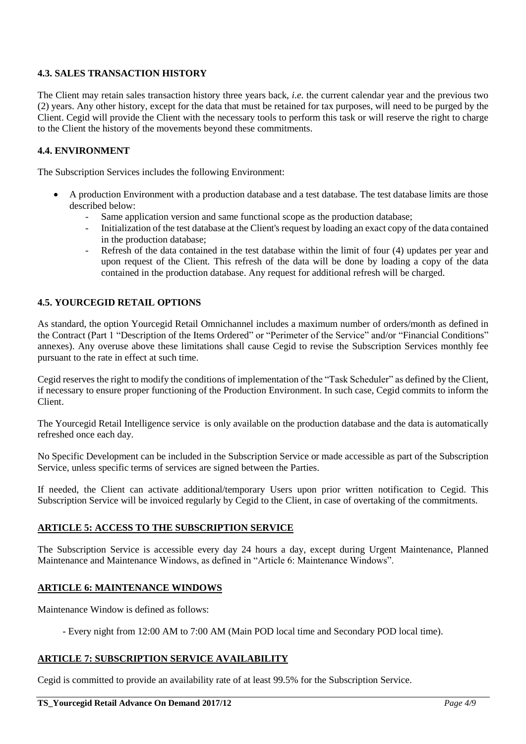#### **4.3. SALES TRANSACTION HISTORY**

The Client may retain sales transaction history three years back, *i.e.* the current calendar year and the previous two (2) years. Any other history, except for the data that must be retained for tax purposes, will need to be purged by the Client. Cegid will provide the Client with the necessary tools to perform this task or will reserve the right to charge to the Client the history of the movements beyond these commitments.

#### **4.4. ENVIRONMENT**

The Subscription Services includes the following Environment:

- A production Environment with a production database and a test database. The test database limits are those described below:
	- Same application version and same functional scope as the production database;
	- Initialization of the test database at the Client's request by loading an exact copy of the data contained in the production database;
	- Refresh of the data contained in the test database within the limit of four (4) updates per year and upon request of the Client. This refresh of the data will be done by loading a copy of the data contained in the production database. Any request for additional refresh will be charged.

#### **4.5. YOURCEGID RETAIL OPTIONS**

As standard, the option Yourcegid Retail Omnichannel includes a maximum number of orders/month as defined in the Contract (Part 1 "Description of the Items Ordered" or "Perimeter of the Service" and/or "Financial Conditions" annexes). Any overuse above these limitations shall cause Cegid to revise the Subscription Services monthly fee pursuant to the rate in effect at such time.

Cegid reserves the right to modify the conditions of implementation of the "Task Scheduler" as defined by the Client, if necessary to ensure proper functioning of the Production Environment. In such case, Cegid commits to inform the Client.

The Yourcegid Retail Intelligence service is only available on the production database and the data is automatically refreshed once each day.

No Specific Development can be included in the Subscription Service or made accessible as part of the Subscription Service, unless specific terms of services are signed between the Parties.

If needed, the Client can activate additional/temporary Users upon prior written notification to Cegid. This Subscription Service will be invoiced regularly by Cegid to the Client, in case of overtaking of the commitments.

#### **ARTICLE 5: ACCESS TO THE SUBSCRIPTION SERVICE**

The Subscription Service is accessible every day 24 hours a day, except during Urgent Maintenance, Planned Maintenance and Maintenance Windows, as defined in "Article 6: Maintenance Windows".

#### **ARTICLE 6: MAINTENANCE WINDOWS**

Maintenance Window is defined as follows:

- Every night from 12:00 AM to 7:00 AM (Main POD local time and Secondary POD local time).

#### **ARTICLE 7: SUBSCRIPTION SERVICE AVAILABILITY**

Cegid is committed to provide an availability rate of at least 99.5% for the Subscription Service.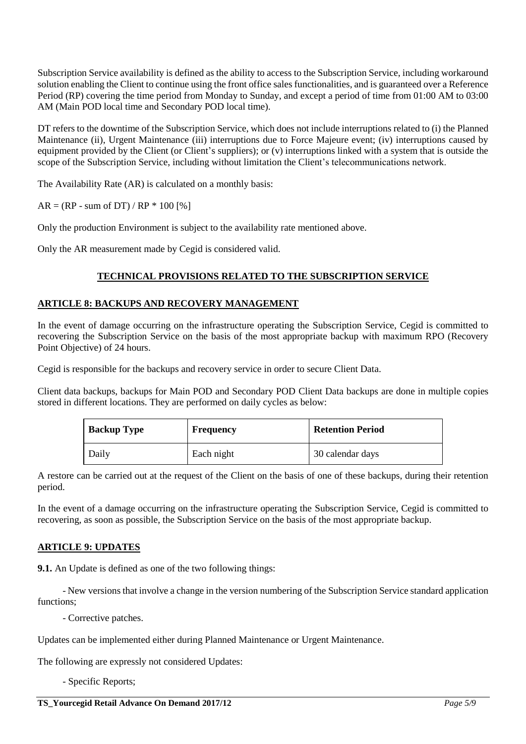Subscription Service availability is defined as the ability to access to the Subscription Service, including workaround solution enabling the Client to continue using the front office sales functionalities, and is guaranteed over a Reference Period (RP) covering the time period from Monday to Sunday, and except a period of time from 01:00 AM to 03:00 AM (Main POD local time and Secondary POD local time).

DT refers to the downtime of the Subscription Service, which does not include interruptions related to (i) the Planned Maintenance (ii), Urgent Maintenance (iii) interruptions due to Force Majeure event; (iv) interruptions caused by equipment provided by the Client (or Client's suppliers); or  $(v)$  interruptions linked with a system that is outside the scope of the Subscription Service, including without limitation the Client's telecommunications network.

The Availability Rate (AR) is calculated on a monthly basis:

 $AR = (RP - sum of DT) / RP * 100 [%]$ 

Only the production Environment is subject to the availability rate mentioned above.

Only the AR measurement made by Cegid is considered valid.

#### **TECHNICAL PROVISIONS RELATED TO THE SUBSCRIPTION SERVICE**

#### **ARTICLE 8: BACKUPS AND RECOVERY MANAGEMENT**

In the event of damage occurring on the infrastructure operating the Subscription Service, Cegid is committed to recovering the Subscription Service on the basis of the most appropriate backup with maximum RPO (Recovery Point Objective) of 24 hours.

Cegid is responsible for the backups and recovery service in order to secure Client Data.

Client data backups, backups for Main POD and Secondary POD Client Data backups are done in multiple copies stored in different locations. They are performed on daily cycles as below:

| <b>Backup Type</b> | Frequency  | <b>Retention Period</b> |  |
|--------------------|------------|-------------------------|--|
| Daily              | Each night | 30 calendar days        |  |

A restore can be carried out at the request of the Client on the basis of one of these backups, during their retention period.

In the event of a damage occurring on the infrastructure operating the Subscription Service, Cegid is committed to recovering, as soon as possible, the Subscription Service on the basis of the most appropriate backup.

#### **ARTICLE 9: UPDATES**

**9.1.** An Update is defined as one of the two following things:

- New versions that involve a change in the version numbering of the Subscription Service standard application functions;

- Corrective patches.

Updates can be implemented either during Planned Maintenance or Urgent Maintenance.

The following are expressly not considered Updates:

- Specific Reports;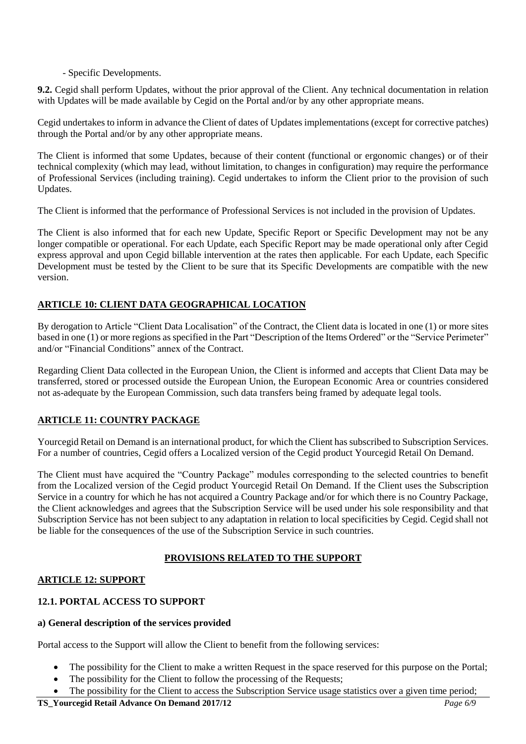#### - Specific Developments.

**9.2.** Cegid shall perform Updates, without the prior approval of the Client. Any technical documentation in relation with Updates will be made available by Cegid on the Portal and/or by any other appropriate means.

Cegid undertakes to inform in advance the Client of dates of Updates implementations (except for corrective patches) through the Portal and/or by any other appropriate means.

The Client is informed that some Updates, because of their content (functional or ergonomic changes) or of their technical complexity (which may lead, without limitation, to changes in configuration) may require the performance of Professional Services (including training). Cegid undertakes to inform the Client prior to the provision of such Updates.

The Client is informed that the performance of Professional Services is not included in the provision of Updates.

The Client is also informed that for each new Update, Specific Report or Specific Development may not be any longer compatible or operational. For each Update, each Specific Report may be made operational only after Cegid express approval and upon Cegid billable intervention at the rates then applicable. For each Update, each Specific Development must be tested by the Client to be sure that its Specific Developments are compatible with the new version.

#### **ARTICLE 10: CLIENT DATA GEOGRAPHICAL LOCATION**

By derogation to Article "Client Data Localisation" of the Contract, the Client data is located in one (1) or more sites based in one (1) or more regions as specified in the Part "Description of the Items Ordered" or the "Service Perimeter" and/or "Financial Conditions" annex of the Contract.

Regarding Client Data collected in the European Union, the Client is informed and accepts that Client Data may be transferred, stored or processed outside the European Union, the European Economic Area or countries considered not as-adequate by the European Commission, such data transfers being framed by adequate legal tools.

#### **ARTICLE 11: COUNTRY PACKAGE**

Yourcegid Retail on Demand is an international product, for which the Client has subscribed to Subscription Services. For a number of countries, Cegid offers a Localized version of the Cegid product Yourcegid Retail On Demand.

The Client must have acquired the "Country Package" modules corresponding to the selected countries to benefit from the Localized version of the Cegid product Yourcegid Retail On Demand. If the Client uses the Subscription Service in a country for which he has not acquired a Country Package and/or for which there is no Country Package, the Client acknowledges and agrees that the Subscription Service will be used under his sole responsibility and that Subscription Service has not been subject to any adaptation in relation to local specificities by Cegid. Cegid shall not be liable for the consequences of the use of the Subscription Service in such countries.

#### **PROVISIONS RELATED TO THE SUPPORT**

#### **ARTICLE 12: SUPPORT**

#### **12.1. PORTAL ACCESS TO SUPPORT**

#### **a) General description of the services provided**

Portal access to the Support will allow the Client to benefit from the following services:

- The possibility for the Client to make a written Request in the space reserved for this purpose on the Portal;
- The possibility for the Client to follow the processing of the Requests;
- The possibility for the Client to access the Subscription Service usage statistics over a given time period;

#### **TS\_Yourcegid Retail Advance On Demand 2017/12** *Page 6/9*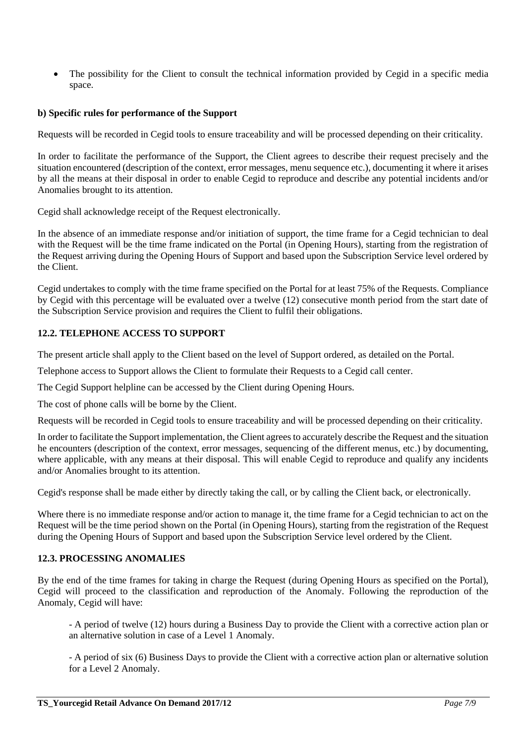The possibility for the Client to consult the technical information provided by Cegid in a specific media space.

#### **b) Specific rules for performance of the Support**

Requests will be recorded in Cegid tools to ensure traceability and will be processed depending on their criticality.

In order to facilitate the performance of the Support, the Client agrees to describe their request precisely and the situation encountered (description of the context, error messages, menu sequence etc.), documenting it where it arises by all the means at their disposal in order to enable Cegid to reproduce and describe any potential incidents and/or Anomalies brought to its attention.

Cegid shall acknowledge receipt of the Request electronically.

In the absence of an immediate response and/or initiation of support, the time frame for a Cegid technician to deal with the Request will be the time frame indicated on the Portal (in Opening Hours), starting from the registration of the Request arriving during the Opening Hours of Support and based upon the Subscription Service level ordered by the Client.

Cegid undertakes to comply with the time frame specified on the Portal for at least 75% of the Requests. Compliance by Cegid with this percentage will be evaluated over a twelve (12) consecutive month period from the start date of the Subscription Service provision and requires the Client to fulfil their obligations.

#### **12.2. TELEPHONE ACCESS TO SUPPORT**

The present article shall apply to the Client based on the level of Support ordered, as detailed on the Portal.

Telephone access to Support allows the Client to formulate their Requests to a Cegid call center.

The Cegid Support helpline can be accessed by the Client during Opening Hours.

The cost of phone calls will be borne by the Client.

Requests will be recorded in Cegid tools to ensure traceability and will be processed depending on their criticality.

In order to facilitate the Support implementation, the Client agrees to accurately describe the Request and the situation he encounters (description of the context, error messages, sequencing of the different menus, etc.) by documenting, where applicable, with any means at their disposal. This will enable Cegid to reproduce and qualify any incidents and/or Anomalies brought to its attention.

Cegid's response shall be made either by directly taking the call, or by calling the Client back, or electronically.

Where there is no immediate response and/or action to manage it, the time frame for a Cegid technician to act on the Request will be the time period shown on the Portal (in Opening Hours), starting from the registration of the Request during the Opening Hours of Support and based upon the Subscription Service level ordered by the Client.

#### **12.3. PROCESSING ANOMALIES**

By the end of the time frames for taking in charge the Request (during Opening Hours as specified on the Portal), Cegid will proceed to the classification and reproduction of the Anomaly. Following the reproduction of the Anomaly, Cegid will have:

- A period of twelve (12) hours during a Business Day to provide the Client with a corrective action plan or an alternative solution in case of a Level 1 Anomaly.

- A period of six (6) Business Days to provide the Client with a corrective action plan or alternative solution for a Level 2 Anomaly.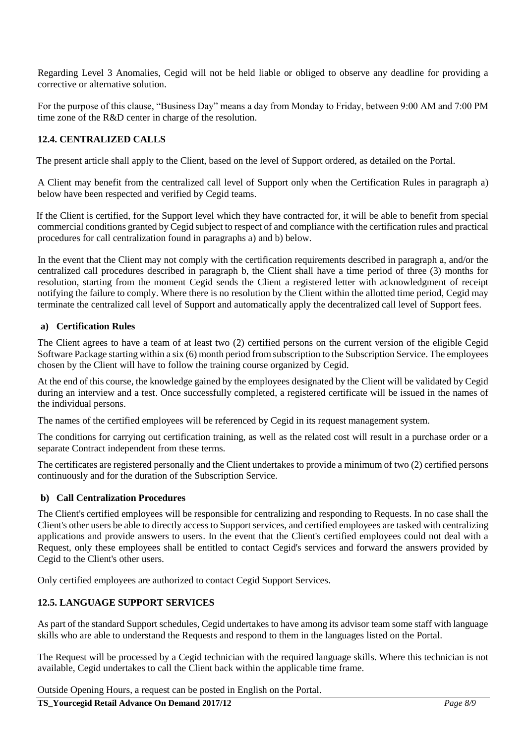Regarding Level 3 Anomalies, Cegid will not be held liable or obliged to observe any deadline for providing a corrective or alternative solution.

For the purpose of this clause, "Business Day" means a day from Monday to Friday, between 9:00 AM and 7:00 PM time zone of the R&D center in charge of the resolution.

#### **12.4. CENTRALIZED CALLS**

The present article shall apply to the Client, based on the level of Support ordered, as detailed on the Portal.

A Client may benefit from the centralized call level of Support only when the Certification Rules in paragraph a) below have been respected and verified by Cegid teams.

If the Client is certified, for the Support level which they have contracted for, it will be able to benefit from special commercial conditions granted by Cegid subject to respect of and compliance with the certification rules and practical procedures for call centralization found in paragraphs a) and b) below.

In the event that the Client may not comply with the certification requirements described in paragraph a, and/or the centralized call procedures described in paragraph b, the Client shall have a time period of three (3) months for resolution, starting from the moment Cegid sends the Client a registered letter with acknowledgment of receipt notifying the failure to comply. Where there is no resolution by the Client within the allotted time period, Cegid may terminate the centralized call level of Support and automatically apply the decentralized call level of Support fees.

#### **a) Certification Rules**

The Client agrees to have a team of at least two (2) certified persons on the current version of the eligible Cegid Software Package starting within a six (6) month period from subscription to the Subscription Service. The employees chosen by the Client will have to follow the training course organized by Cegid.

At the end of this course, the knowledge gained by the employees designated by the Client will be validated by Cegid during an interview and a test. Once successfully completed, a registered certificate will be issued in the names of the individual persons.

The names of the certified employees will be referenced by Cegid in its request management system.

The conditions for carrying out certification training, as well as the related cost will result in a purchase order or a separate Contract independent from these terms.

The certificates are registered personally and the Client undertakes to provide a minimum of two (2) certified persons continuously and for the duration of the Subscription Service.

#### **b) Call Centralization Procedures**

The Client's certified employees will be responsible for centralizing and responding to Requests. In no case shall the Client's other users be able to directly access to Support services, and certified employees are tasked with centralizing applications and provide answers to users. In the event that the Client's certified employees could not deal with a Request, only these employees shall be entitled to contact Cegid's services and forward the answers provided by Cegid to the Client's other users.

Only certified employees are authorized to contact Cegid Support Services.

#### **12.5. LANGUAGE SUPPORT SERVICES**

As part of the standard Support schedules, Cegid undertakes to have among its advisor team some staff with language skills who are able to understand the Requests and respond to them in the languages listed on the Portal.

The Request will be processed by a Cegid technician with the required language skills. Where this technician is not available, Cegid undertakes to call the Client back within the applicable time frame.

Outside Opening Hours, a request can be posted in English on the Portal.